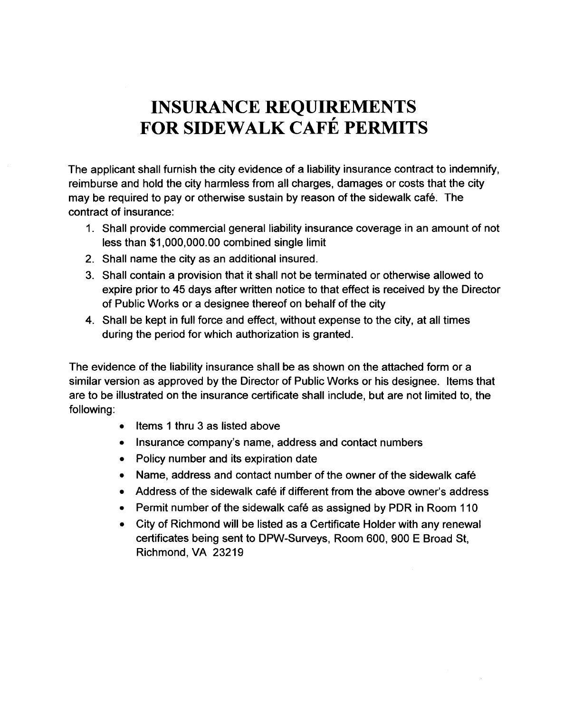## **INSURANCE REQUIREMENTS FOR SIDEWALK CAFE PERMITS**

The applicant shall furnish the city evidence of a liability insurance contract to indemnify, reimburse and hold the city harmless from all charges, damages or costs that the city may be required to pay or otherwise sustain by reason of the sidewalk café. The contract of insurance:

- 1. Shall provide commercial general liability insurance coverage in an amount of not less than \$1,000,000.00 combined single limit
- 2. Shall name the city as an additional insured.
- 3. Shall contain a provision that it shall not be terminated or otherwise allowed to expire prior to 45 days after written notice to that effect is received by the Director of Public Works or a designee thereof on behalf of the city
- 4. Shall be kept in full force and effect, without expense to the city, at all times during the period for which authorization is granted.

The evidence of the liability insurance shall be as shown on the attached form or a similar version as approved by the Director of Public Works or his designee. Items that are to be illustrated on the insurance certificate shall include, but are not limited to, the following:

- Items 1 thru 3 as listed above
- Insurance company's name, address and contact numbers
- Policy number and its expiration date
- Name, address and contact number of the owner of the sidewalk cafe
- Address of the sidewalk cafe if different from the above owner's address
- Permit number of the sidewalk cafe as assigned by PDR in Room 110
- City of Richmond will be listed as a Certificate Holder with any renewal certificates being sent to DPW-Surveys, Room 600, 900 E Broad St, Richmond, VA 23219